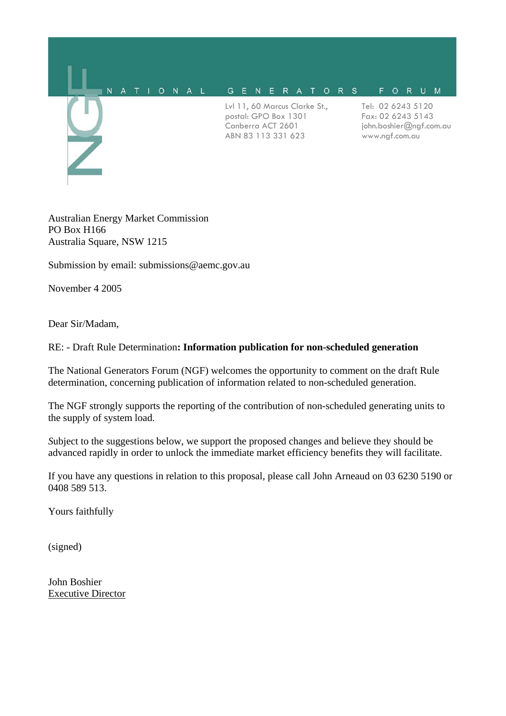

Australian Energy Market Commission PO Box H166 Australia Square, NSW 1215

Submission by email: submissions@aemc.gov.au

November 4 2005

Dear Sir/Madam,

### RE: - Draft Rule Determination**: Information publication for non-scheduled generation**

The National Generators Forum (NGF) welcomes the opportunity to comment on the draft Rule determination, concerning publication of information related to non-scheduled generation.

The NGF strongly supports the reporting of the contribution of non-scheduled generating units to the supply of system load.

*S*ubject to the suggestions below, we support the proposed changes and believe they should be advanced rapidly in order to unlock the immediate market efficiency benefits they will facilitate.

If you have any questions in relation to this proposal, please call John Arneaud on 03 6230 5190 or 0408 589 513.

Yours faithfully

(signed)

John Boshier Executive Director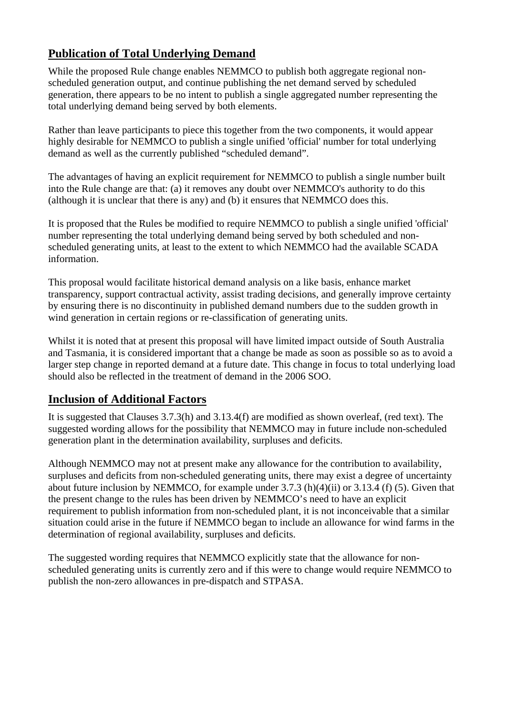# **Publication of Total Underlying Demand**

While the proposed Rule change enables NEMMCO to publish both aggregate regional nonscheduled generation output, and continue publishing the net demand served by scheduled generation, there appears to be no intent to publish a single aggregated number representing the total underlying demand being served by both elements.

Rather than leave participants to piece this together from the two components, it would appear highly desirable for NEMMCO to publish a single unified 'official' number for total underlying demand as well as the currently published "scheduled demand".

The advantages of having an explicit requirement for NEMMCO to publish a single number built into the Rule change are that: (a) it removes any doubt over NEMMCO's authority to do this (although it is unclear that there is any) and (b) it ensures that NEMMCO does this.

It is proposed that the Rules be modified to require NEMMCO to publish a single unified 'official' number representing the total underlying demand being served by both scheduled and nonscheduled generating units, at least to the extent to which NEMMCO had the available SCADA information.

This proposal would facilitate historical demand analysis on a like basis, enhance market transparency, support contractual activity, assist trading decisions, and generally improve certainty by ensuring there is no discontinuity in published demand numbers due to the sudden growth in wind generation in certain regions or re-classification of generating units.

Whilst it is noted that at present this proposal will have limited impact outside of South Australia and Tasmania, it is considered important that a change be made as soon as possible so as to avoid a larger step change in reported demand at a future date. This change in focus to total underlying load should also be reflected in the treatment of demand in the 2006 SOO.

## **Inclusion of Additional Factors**

It is suggested that Clauses 3.7.3(h) and 3.13.4(f) are modified as shown overleaf, (red text). The suggested wording allows for the possibility that NEMMCO may in future include non-scheduled generation plant in the determination availability, surpluses and deficits.

Although NEMMCO may not at present make any allowance for the contribution to availability, surpluses and deficits from non-scheduled generating units, there may exist a degree of uncertainty about future inclusion by NEMMCO, for example under 3.7.3 (h)(4)(ii) or 3.13.4 (f) (5). Given that the present change to the rules has been driven by NEMMCO's need to have an explicit requirement to publish information from non-scheduled plant, it is not inconceivable that a similar situation could arise in the future if NEMMCO began to include an allowance for wind farms in the determination of regional availability, surpluses and deficits.

The suggested wording requires that NEMMCO explicitly state that the allowance for nonscheduled generating units is currently zero and if this were to change would require NEMMCO to publish the non-zero allowances in pre-dispatch and STPASA.